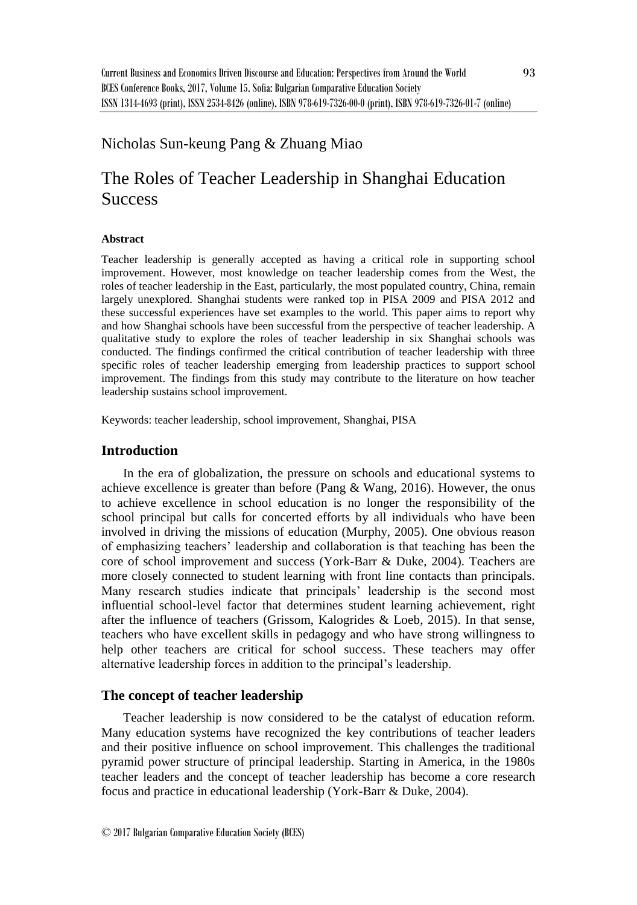# Nicholas Sun-keung Pang & Zhuang Miao

# The Roles of Teacher Leadership in Shanghai Education **Success**

#### **Abstract**

Teacher leadership is generally accepted as having a critical role in supporting school improvement. However, most knowledge on teacher leadership comes from the West, the roles of teacher leadership in the East, particularly, the most populated country, China, remain largely unexplored. Shanghai students were ranked top in PISA 2009 and PISA 2012 and these successful experiences have set examples to the world. This paper aims to report why and how Shanghai schools have been successful from the perspective of teacher leadership. A qualitative study to explore the roles of teacher leadership in six Shanghai schools was conducted. The findings confirmed the critical contribution of teacher leadership with three specific roles of teacher leadership emerging from leadership practices to support school improvement. The findings from this study may contribute to the literature on how teacher leadership sustains school improvement.

Keywords: teacher leadership, school improvement, Shanghai, PISA

# **Introduction**

In the era of globalization, the pressure on schools and educational systems to achieve excellence is greater than before (Pang & Wang, 2016). However, the onus to achieve excellence in school education is no longer the responsibility of the school principal but calls for concerted efforts by all individuals who have been involved in driving the missions of education (Murphy, 2005). One obvious reason of emphasizing teachers' leadership and collaboration is that teaching has been the core of school improvement and success (York-Barr & Duke, 2004). Teachers are more closely connected to student learning with front line contacts than principals. Many research studies indicate that principals' leadership is the second most influential school-level factor that determines student learning achievement, right after the influence of teachers (Grissom, Kalogrides & Loeb, 2015). In that sense, teachers who have excellent skills in pedagogy and who have strong willingness to help other teachers are critical for school success. These teachers may offer alternative leadership forces in addition to the principal's leadership.

# **The concept of teacher leadership**

Teacher leadership is now considered to be the catalyst of education reform. Many education systems have recognized the key contributions of teacher leaders and their positive influence on school improvement. This challenges the traditional pyramid power structure of principal leadership. Starting in America, in the 1980s teacher leaders and the concept of teacher leadership has become a core research focus and practice in educational leadership (York-Barr & Duke, 2004).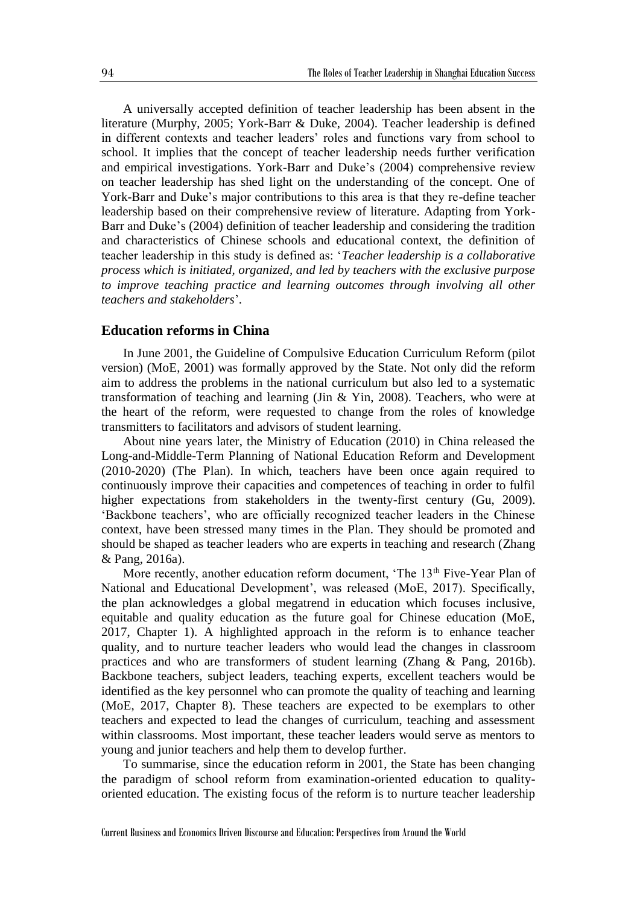A universally accepted definition of teacher leadership has been absent in the literature (Murphy, 2005; York-Barr & Duke, 2004). Teacher leadership is defined in different contexts and teacher leaders' roles and functions vary from school to school. It implies that the concept of teacher leadership needs further verification and empirical investigations. York-Barr and Duke's (2004) comprehensive review on teacher leadership has shed light on the understanding of the concept. One of York-Barr and Duke's major contributions to this area is that they re-define teacher leadership based on their comprehensive review of literature. Adapting from York-Barr and Duke's (2004) definition of teacher leadership and considering the tradition and characteristics of Chinese schools and educational context, the definition of teacher leadership in this study is defined as: '*Teacher leadership is a collaborative process which is initiated, organized, and led by teachers with the exclusive purpose to improve teaching practice and learning outcomes through involving all other teachers and stakeholders*'.

# **Education reforms in China**

In June 2001, the Guideline of Compulsive Education Curriculum Reform (pilot version) (MoE, 2001) was formally approved by the State. Not only did the reform aim to address the problems in the national curriculum but also led to a systematic transformation of teaching and learning (Jin  $&$  Yin, 2008). Teachers, who were at the heart of the reform, were requested to change from the roles of knowledge transmitters to facilitators and advisors of student learning.

About nine years later, the Ministry of Education (2010) in China released the Long-and-Middle-Term Planning of National Education Reform and Development (2010-2020) (The Plan). In which, teachers have been once again required to continuously improve their capacities and competences of teaching in order to fulfil higher expectations from stakeholders in the twenty-first century (Gu, 2009). 'Backbone teachers', who are officially recognized teacher leaders in the Chinese context, have been stressed many times in the Plan. They should be promoted and should be shaped as teacher leaders who are experts in teaching and research (Zhang & Pang, 2016a).

More recently, another education reform document, 'The 13<sup>th</sup> Five-Year Plan of National and Educational Development', was released (MoE, 2017). Specifically, the plan acknowledges a global megatrend in education which focuses inclusive, equitable and quality education as the future goal for Chinese education (MoE, 2017, Chapter 1). A highlighted approach in the reform is to enhance teacher quality, and to nurture teacher leaders who would lead the changes in classroom practices and who are transformers of student learning (Zhang & Pang, 2016b). Backbone teachers, subject leaders, teaching experts, excellent teachers would be identified as the key personnel who can promote the quality of teaching and learning (MoE, 2017, Chapter 8). These teachers are expected to be exemplars to other teachers and expected to lead the changes of curriculum, teaching and assessment within classrooms. Most important, these teacher leaders would serve as mentors to young and junior teachers and help them to develop further.

To summarise, since the education reform in 2001, the State has been changing the paradigm of school reform from examination-oriented education to qualityoriented education. The existing focus of the reform is to nurture teacher leadership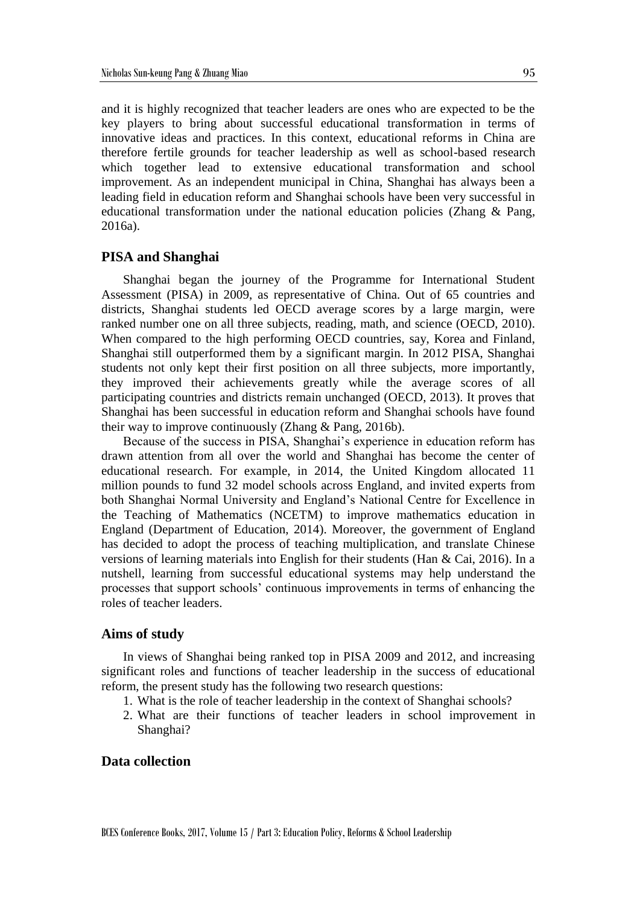and it is highly recognized that teacher leaders are ones who are expected to be the key players to bring about successful educational transformation in terms of innovative ideas and practices. In this context, educational reforms in China are therefore fertile grounds for teacher leadership as well as school-based research which together lead to extensive educational transformation and school improvement. As an independent municipal in China, Shanghai has always been a leading field in education reform and Shanghai schools have been very successful in educational transformation under the national education policies (Zhang & Pang, 2016a).

#### **PISA and Shanghai**

Shanghai began the journey of the Programme for International Student Assessment (PISA) in 2009, as representative of China. Out of 65 countries and districts, Shanghai students led OECD average scores by a large margin, were ranked number one on all three subjects, reading, math, and science (OECD, 2010). When compared to the high performing OECD countries, say, Korea and Finland, Shanghai still outperformed them by a significant margin. In 2012 PISA, Shanghai students not only kept their first position on all three subjects, more importantly, they improved their achievements greatly while the average scores of all participating countries and districts remain unchanged (OECD, 2013). It proves that Shanghai has been successful in education reform and Shanghai schools have found their way to improve continuously (Zhang & Pang, 2016b).

Because of the success in PISA, Shanghai's experience in education reform has drawn attention from all over the world and Shanghai has become the center of educational research. For example, in 2014, the United Kingdom allocated 11 million pounds to fund 32 model schools across England, and invited experts from both Shanghai Normal University and England's National Centre for Excellence in the Teaching of Mathematics (NCETM) to improve mathematics education in England (Department of Education, 2014). Moreover, the government of England has decided to adopt the process of teaching multiplication, and translate Chinese versions of learning materials into English for their students (Han & Cai, 2016). In a nutshell, learning from successful educational systems may help understand the processes that support schools' continuous improvements in terms of enhancing the roles of teacher leaders.

#### **Aims of study**

In views of Shanghai being ranked top in PISA 2009 and 2012, and increasing significant roles and functions of teacher leadership in the success of educational reform, the present study has the following two research questions:

- 1. What is the role of teacher leadership in the context of Shanghai schools?
- 2. What are their functions of teacher leaders in school improvement in Shanghai?

# **Data collection**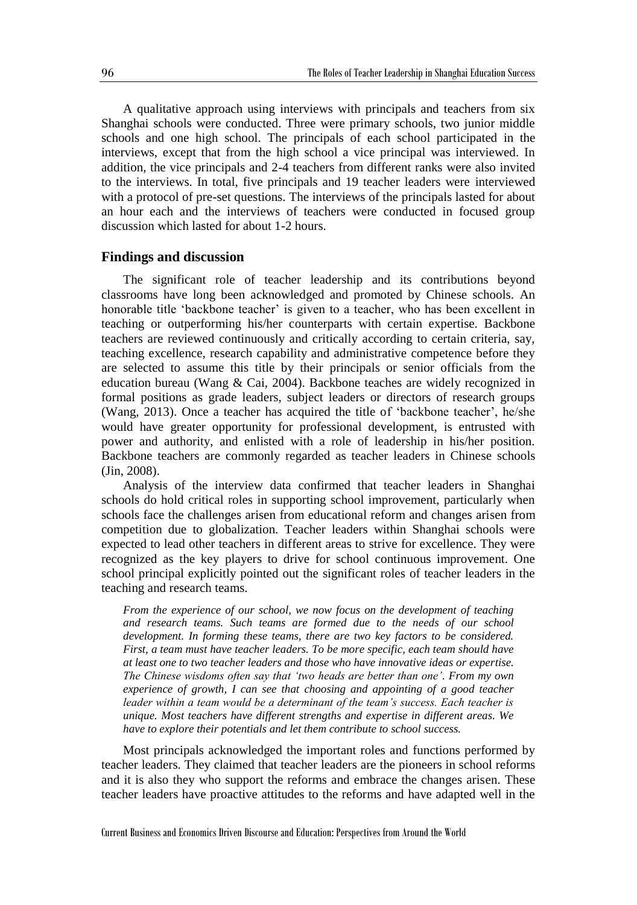A qualitative approach using interviews with principals and teachers from six Shanghai schools were conducted. Three were primary schools, two junior middle schools and one high school. The principals of each school participated in the interviews, except that from the high school a vice principal was interviewed. In addition, the vice principals and 2-4 teachers from different ranks were also invited to the interviews. In total, five principals and 19 teacher leaders were interviewed with a protocol of pre-set questions. The interviews of the principals lasted for about an hour each and the interviews of teachers were conducted in focused group discussion which lasted for about 1-2 hours.

#### **Findings and discussion**

The significant role of teacher leadership and its contributions beyond classrooms have long been acknowledged and promoted by Chinese schools. An honorable title 'backbone teacher' is given to a teacher, who has been excellent in teaching or outperforming his/her counterparts with certain expertise. Backbone teachers are reviewed continuously and critically according to certain criteria, say, teaching excellence, research capability and administrative competence before they are selected to assume this title by their principals or senior officials from the education bureau (Wang  $& \text{Cai}, 2004$ ). Backbone teaches are widely recognized in formal positions as grade leaders, subject leaders or directors of research groups (Wang, 2013). Once a teacher has acquired the title of 'backbone teacher', he/she would have greater opportunity for professional development, is entrusted with power and authority, and enlisted with a role of leadership in his/her position. Backbone teachers are commonly regarded as teacher leaders in Chinese schools (Jin, 2008).

Analysis of the interview data confirmed that teacher leaders in Shanghai schools do hold critical roles in supporting school improvement, particularly when schools face the challenges arisen from educational reform and changes arisen from competition due to globalization. Teacher leaders within Shanghai schools were expected to lead other teachers in different areas to strive for excellence. They were recognized as the key players to drive for school continuous improvement. One school principal explicitly pointed out the significant roles of teacher leaders in the teaching and research teams.

*From the experience of our school, we now focus on the development of teaching and research teams. Such teams are formed due to the needs of our school development. In forming these teams, there are two key factors to be considered. First, a team must have teacher leaders. To be more specific, each team should have at least one to two teacher leaders and those who have innovative ideas or expertise. The Chinese wisdoms often say that 'two heads are better than one'. From my own experience of growth, I can see that choosing and appointing of a good teacher leader within a team would be a determinant of the team's success. Each teacher is unique. Most teachers have different strengths and expertise in different areas. We have to explore their potentials and let them contribute to school success.*

Most principals acknowledged the important roles and functions performed by teacher leaders. They claimed that teacher leaders are the pioneers in school reforms and it is also they who support the reforms and embrace the changes arisen. These teacher leaders have proactive attitudes to the reforms and have adapted well in the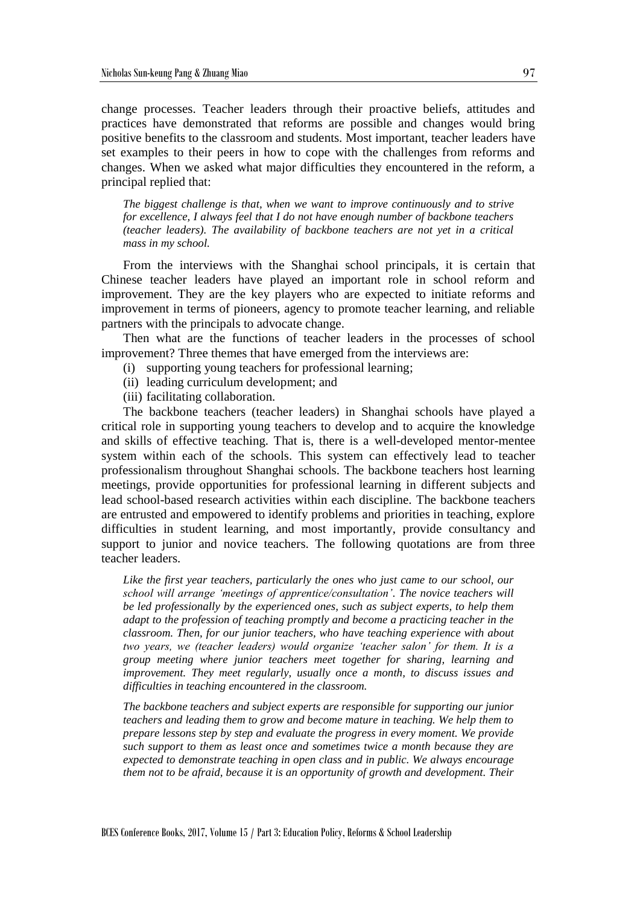change processes. Teacher leaders through their proactive beliefs, attitudes and practices have demonstrated that reforms are possible and changes would bring positive benefits to the classroom and students. Most important, teacher leaders have set examples to their peers in how to cope with the challenges from reforms and changes. When we asked what major difficulties they encountered in the reform, a principal replied that:

*The biggest challenge is that, when we want to improve continuously and to strive for excellence, I always feel that I do not have enough number of backbone teachers (teacher leaders). The availability of backbone teachers are not yet in a critical mass in my school.*

From the interviews with the Shanghai school principals, it is certain that Chinese teacher leaders have played an important role in school reform and improvement. They are the key players who are expected to initiate reforms and improvement in terms of pioneers, agency to promote teacher learning, and reliable partners with the principals to advocate change.

Then what are the functions of teacher leaders in the processes of school improvement? Three themes that have emerged from the interviews are:

- (i) supporting young teachers for professional learning;
- (ii) leading curriculum development; and
- (iii) facilitating collaboration.

The backbone teachers (teacher leaders) in Shanghai schools have played a critical role in supporting young teachers to develop and to acquire the knowledge and skills of effective teaching. That is, there is a well-developed mentor-mentee system within each of the schools. This system can effectively lead to teacher professionalism throughout Shanghai schools. The backbone teachers host learning meetings, provide opportunities for professional learning in different subjects and lead school-based research activities within each discipline. The backbone teachers are entrusted and empowered to identify problems and priorities in teaching, explore difficulties in student learning, and most importantly, provide consultancy and support to junior and novice teachers. The following quotations are from three teacher leaders.

*Like the first year teachers, particularly the ones who just came to our school, our school will arrange 'meetings of apprentice/consultation'. The novice teachers will be led professionally by the experienced ones, such as subject experts, to help them adapt to the profession of teaching promptly and become a practicing teacher in the classroom. Then, for our junior teachers, who have teaching experience with about two years, we (teacher leaders) would organize 'teacher salon' for them. It is a group meeting where junior teachers meet together for sharing, learning and improvement. They meet regularly, usually once a month, to discuss issues and difficulties in teaching encountered in the classroom.* 

*The backbone teachers and subject experts are responsible for supporting our junior teachers and leading them to grow and become mature in teaching. We help them to prepare lessons step by step and evaluate the progress in every moment. We provide such support to them as least once and sometimes twice a month because they are expected to demonstrate teaching in open class and in public. We always encourage them not to be afraid, because it is an opportunity of growth and development. Their*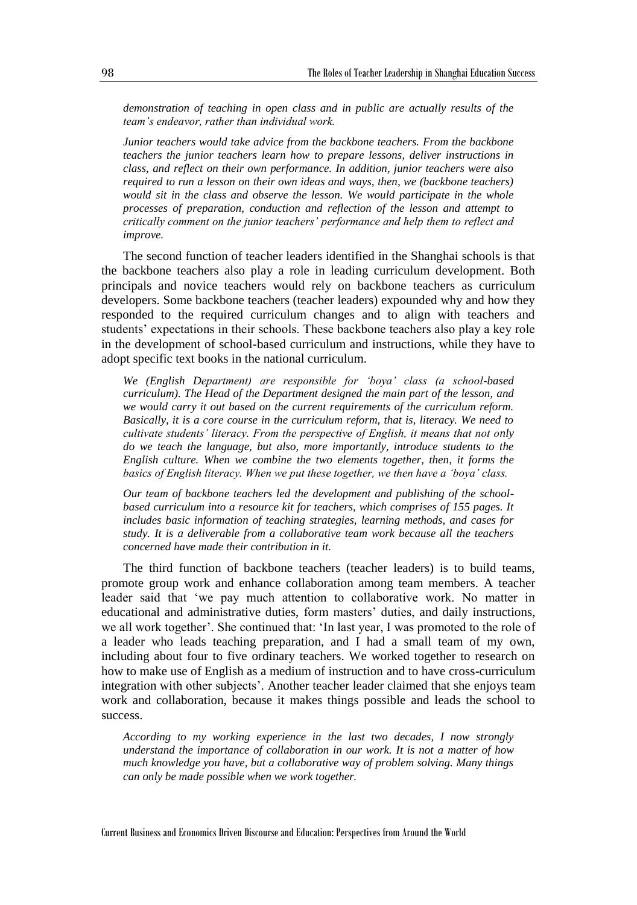*demonstration of teaching in open class and in public are actually results of the team's endeavor, rather than individual work.* 

*Junior teachers would take advice from the backbone teachers. From the backbone teachers the junior teachers learn how to prepare lessons, deliver instructions in class, and reflect on their own performance. In addition, junior teachers were also required to run a lesson on their own ideas and ways, then, we (backbone teachers) would sit in the class and observe the lesson. We would participate in the whole processes of preparation, conduction and reflection of the lesson and attempt to critically comment on the junior teachers' performance and help them to reflect and improve.*

The second function of teacher leaders identified in the Shanghai schools is that the backbone teachers also play a role in leading curriculum development. Both principals and novice teachers would rely on backbone teachers as curriculum developers. Some backbone teachers (teacher leaders) expounded why and how they responded to the required curriculum changes and to align with teachers and students' expectations in their schools. These backbone teachers also play a key role in the development of school-based curriculum and instructions, while they have to adopt specific text books in the national curriculum.

*We (English Department) are responsible for 'boya' class (a school-based curriculum). The Head of the Department designed the main part of the lesson, and we would carry it out based on the current requirements of the curriculum reform. Basically, it is a core course in the curriculum reform, that is, literacy. We need to cultivate students' literacy. From the perspective of English, it means that not only do we teach the language, but also, more importantly, introduce students to the English culture. When we combine the two elements together, then, it forms the basics of English literacy. When we put these together, we then have a 'boya' class.* 

*Our team of backbone teachers led the development and publishing of the schoolbased curriculum into a resource kit for teachers, which comprises of 155 pages. It includes basic information of teaching strategies, learning methods, and cases for study. It is a deliverable from a collaborative team work because all the teachers concerned have made their contribution in it.* 

The third function of backbone teachers (teacher leaders) is to build teams, promote group work and enhance collaboration among team members. A teacher leader said that 'we pay much attention to collaborative work. No matter in educational and administrative duties, form masters' duties, and daily instructions, we all work together'. She continued that: 'In last year, I was promoted to the role of a leader who leads teaching preparation, and I had a small team of my own, including about four to five ordinary teachers. We worked together to research on how to make use of English as a medium of instruction and to have cross-curriculum integration with other subjects'. Another teacher leader claimed that she enjoys team work and collaboration, because it makes things possible and leads the school to success.

*According to my working experience in the last two decades, I now strongly understand the importance of collaboration in our work. It is not a matter of how much knowledge you have, but a collaborative way of problem solving. Many things can only be made possible when we work together.*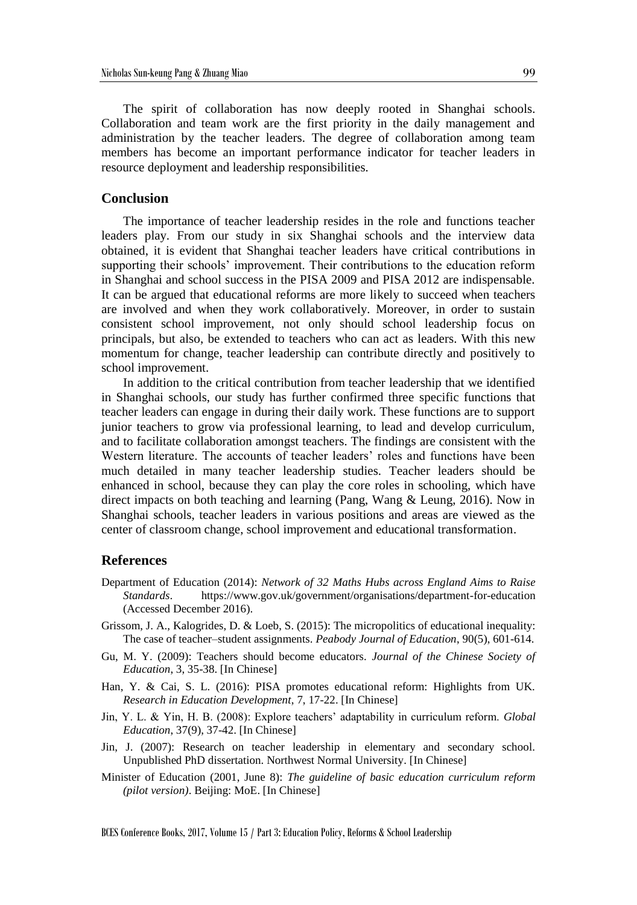The spirit of collaboration has now deeply rooted in Shanghai schools. Collaboration and team work are the first priority in the daily management and administration by the teacher leaders. The degree of collaboration among team members has become an important performance indicator for teacher leaders in resource deployment and leadership responsibilities.

#### **Conclusion**

The importance of teacher leadership resides in the role and functions teacher leaders play. From our study in six Shanghai schools and the interview data obtained, it is evident that Shanghai teacher leaders have critical contributions in supporting their schools' improvement. Their contributions to the education reform in Shanghai and school success in the PISA 2009 and PISA 2012 are indispensable. It can be argued that educational reforms are more likely to succeed when teachers are involved and when they work collaboratively. Moreover, in order to sustain consistent school improvement, not only should school leadership focus on principals, but also, be extended to teachers who can act as leaders. With this new momentum for change, teacher leadership can contribute directly and positively to school improvement.

In addition to the critical contribution from teacher leadership that we identified in Shanghai schools, our study has further confirmed three specific functions that teacher leaders can engage in during their daily work. These functions are to support junior teachers to grow via professional learning, to lead and develop curriculum, and to facilitate collaboration amongst teachers. The findings are consistent with the Western literature. The accounts of teacher leaders' roles and functions have been much detailed in many teacher leadership studies. Teacher leaders should be enhanced in school, because they can play the core roles in schooling, which have direct impacts on both teaching and learning (Pang, Wang & Leung, 2016). Now in Shanghai schools, teacher leaders in various positions and areas are viewed as the center of classroom change, school improvement and educational transformation.

# **References**

- Department of Education (2014): *Network of 32 Maths Hubs across England Aims to Raise Standards*. https://www.gov.uk/government/organisations/department-for-education (Accessed December 2016).
- Grissom, J. A., Kalogrides, D. & Loeb, S. (2015): The micropolitics of educational inequality: The case of teacher–student assignments. *Peabody Journal of Education*, 90(5), 601-614.
- Gu, M. Y. (2009): Teachers should become educators. *Journal of the Chinese Society of Education*, 3, 35-38. [In Chinese]
- Han, Y. & Cai, S. L. (2016): PISA promotes educational reform: Highlights from UK. *Research in Education Development*, 7, 17-22. [In Chinese]
- Jin, Y. L. & Yin, H. B. (2008): Explore teachers' adaptability in curriculum reform. *Global Education*, 37(9), 37-42. [In Chinese]
- Jin, J. (2007): Research on teacher leadership in elementary and secondary school. Unpublished PhD dissertation. Northwest Normal University. [In Chinese]
- Minister of Education (2001, June 8): *The guideline of basic education curriculum reform (pilot version)*. Beijing: MoE. [In Chinese]

BCES Conference Books, 2017, Volume 15 / Part 3: Education Policy, Reforms & School Leadership